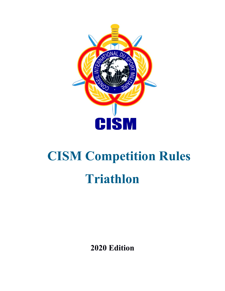

# **CISM Competition Rules Triathlon**

**2020 Edition**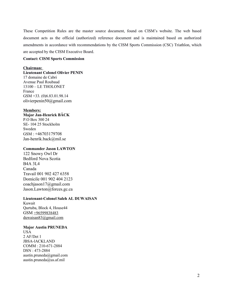These Competition Rules are the master source document, found on CISM's website. The web based document acts as the official (authorized) reference document and is maintained based on authorized amendments in accordance with recommendations by the CISM Sports Commission (CSC) Triathlon, which are accepted by the CISM Executive Board.

## **Contact: CISM Sports Commission**

#### **Chairman:**

**Lieutenant Colonel Olivier PENIN** 17 domaine de Cabri Avenue Paul Roubaud 13100 – LE THOLONET France GSM +33. (0)6.83.01.98.14 [olivierpenin50@gmail.com](mailto:openin@caramail.com)

## **Members:**

**Major Jan-Henrick BÄCK** P.O Box 300 24 SE- 104 25 Stockholm Sweden GSM : [+46703179708](tel://+46703179708) [Jan-henrik.back@mil.se](mailto:Jan-henrik.back@mil.se)

#### **Commander Jason LAWTON**

122 Snowy Owl Dr Bedford Nova Scotia B4A 3L4 Canada Travail [001 902 427 6358](tel:0019024276358) Domicile [001 902 404 2123](tel:0019024042123) [coachjason17@gmail.com](mailto:coachjason17@gmail.com) [Jason.Lawton@forces.gc.ca](mailto:Jason.Lawton@forces.gc.ca)

#### **Lieutenant-Colonel Saleh AL DUWAISAN**

Kuwait Qurtuba, Block 4, House44 GSM +96599838483 duwaisan83@gmail.com

## **Major Austin PRUNEDA**

USA 2 AF/Det 1 JBSA-lACKLAND COMM : 210-671-2884 DSN : 473-2884 austin.pruneda@gmail.com [austin.pruneda@us.af.mil](mailto:austin.pruneda@us.af.mil)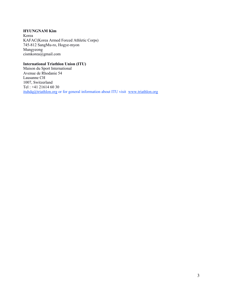## **HYUNGNAM Kim**

Korea KAFAC(Korea Armed Forced Athletic Corps) 745-812 SangMu-ro, Hogye-myon Mungyeong cismkorea@gmail.com

# **International Triathlon Union (ITU)**

Maison du Sport International Avenue de Rhodanie 54 Lausanne CH 1007, Switzerland Tel : +41 21614 60 30 [ituhdq@triathlon.org](mailto:ituhdq@triathlon.org) or for general information about ITU visit [www.triathlon.org](http://www.triathlon.org/)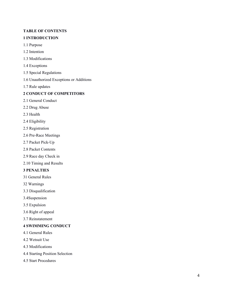## **TABLE OF CONTENTS**

## **1 INTRODUCTION**

- 1.1 Purpose
- 1.2 Intention
- 1.3 Modifications
- 1.4 Exceptions
- 1.5 Special Regulations
- 1.6 Unauthorized Exceptions or Additions
- 1.7 Rule updates

# **2 CONDUCT OF COMPETITORS**

- 2.1 General Conduct
- 2.2 Drug Abuse
- 2.3 Health
- 2.4 Eligibility
- 2.5 Registration
- 2.6 Pre-Race Meetings
- 2.7 Packet Pick-Up
- 2.8 Packet Contents
- 2.9 Race day Check in
- 2.10 Timing and Results

## **3 PENALTIES**

- 31 General Rules
- 32 Warnings
- 3.3 Disqualification
- 3.4Suspension
- 3.5 Expulsion
- 3.6 Right of appeal
- 3.7 Reinstatement

## **4 SWIMMING CONDUCT**

- 4.1 General Rules
- 4.2 Wetsuit Use
- 4.3 Modifications
- 4.4 Starting Position Selection
- 4.5 Start Procedures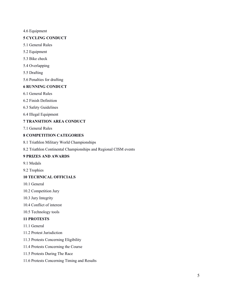## 4.6 Equipment

## **5 CYCLING CONDUCT**

- 5.1 General Rules
- 5.2 Equipment
- 5.3 Bike check
- 5.4 Overlapping
- 5.5 Drafting
- 5.6 Penalties for drafting

## **6 RUNNING CONDUCT**

- 6.1 General Rules
- 6.2 Finish Definition
- 6.3 Safety Guidelines
- 6.4 Illegal Equipment

# **7 TRANSITION AREA CONDUCT**

7.1 General Rules

# **8 COMPETITION CATEGORIES**

- 8.1 Triathlon Military World Championships
- 8.2 Triathlon Continental Championships and Regional CISM events

# **9 PRIZES AND AWARDS**

- 9.1 Medals
- 9.2 Trophies

## **10 TECHNICAL OFFICIALS**

- 10.1 General
- 10.2 Competition Jury
- 10.3 Jury Integrity
- 10.4 Conflict of interest
- 10.5 Technology tools

# **11 PROTESTS**

- 11.1 General
- 11.2 Protest Jurisdiction
- 11.3 Protests Concerning Eligibility
- 11.4 Protests Concerning the Course
- 11.5 Protests During The Race
- 11.6 Protests Concerning Timing and Results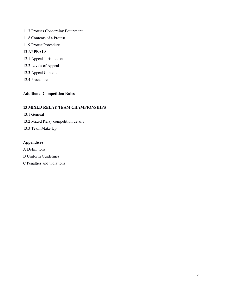- 11.7 Protests Concerning Equipment
- 11.8 Contents of a Protest
- 11.9 Protest Procedure

## **12 APPEALS**

- 12.1 Appeal Jurisdiction
- 12.2 Levels of Appeal
- 12.3 Appeal Contents
- 12.4 Procedure

# **Additional Competition Rules**

# **13 MIXED RELAY TEAM CHAMPIONSHIPS**

- 13.1 General
- 13.2 Mixed Relay competition details
- 13.3 Team Make Up

# **Appendices**

- A Definitions
- B Uniform Guidelines
- C Penalties and violations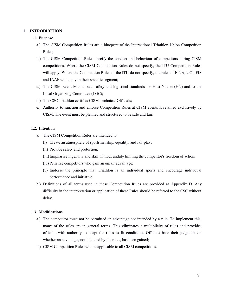#### **1. INTRODUCTION**

#### **1.1. Purpose**

- a.) The CISM Competition Rules are a blueprint of the International Triathlon Union Competition Rules;
- b.) The CISM Competition Rules specify the conduct and behaviour of competitors during CISM competitions. Where the CISM Competition Rules do not specify, the ITU Competition Rules will apply. Where the Competition Rules of the ITU do not specify, the rules of FINA, UCI, FIS and IAAF will apply in their specific segment;
- c.) The CISM Event Manual sets safety and logistical standards for Host Nation (HN) and to the Local Organizing Committee (LOC);
- d.) The CSC Triathlon certifies CISM Technical Officials;
- e.) Authority to sanction and enforce Competition Rules at CISM events is retained exclusively by CISM. The event must be planned and structured to be safe and fair.

## **1.2. Intention**

- a.) The CISM Competition Rules are intended to:
	- (i) Create an atmosphere of sportsmanship, equality, and fair play;
	- (ii) Provide safety and protection;
	- (iii)Emphasize ingenuity and skill without unduly limiting the competitor's freedom of action;
	- (iv) Penalize competitors who gain an unfair advantage;
	- (v) Endorse the principle that Triathlon is an individual sports and encourage individual performance and initiative.
- b.) Definitions of all terms used in these Competition Rules are provided at Appendix D. Any difficulty in the interpretation or application of these Rules should be referred to the CSC without delay.

#### **1.3. Modifications**

- a.) The competitor must not be permitted an advantage not intended by a rule. To implement this, many of the rules are in general terms. This eliminates a multiplicity of rules and provides officials with authority to adapt the rules to fit conditions. Officials base their judgment on whether an advantage, not intended by the rules, has been gained;
- b.) CISM Competition Rules will be applicable to all CISM competitions.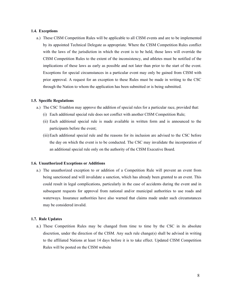#### **1.4. Exceptions**

a.) These CISM Competition Rules will be applicable to all CISM events and are to be implemented by its appointed Technical Delegate as appropriate. Where the CISM Competition Rules conflict with the laws of the jurisdiction in which the event is to be held, those laws will override the CISM Competition Rules to the extent of the inconsistency, and athletes must be notified of the implications of these laws as early as possible and not later than prior to the start of the event. Exceptions for special circumstances in a particular event may only be gained from CISM with prior approval. A request for an exception to these Rules must be made in writing to the CSC through the Nation to whom the application has been submitted or is being submitted.

#### **1.5. Specific Regulations**

- a.) The CSC Triathlon may approve the addition of special rules for a particular race, provided that:
	- (i) Each additional special rule does not conflict with another CISM Competition Rule;
	- (ii) Each additional special rule is made available in written form and is announced to the participants before the event;
	- (iii)Each additional special rule and the reasons for its inclusion are advised to the CSC before the day on which the event is to be conducted. The CSC may invalidate the incorporation of an additional special rule only on the authority of the CISM Executive Board.

#### **1.6. Unauthorized Exceptions or Additions**

a.) The unauthorized exception to or addition of a Competition Rule will prevent an event from being sanctioned and will invalidate a sanction, which has already been granted to an event. This could result in legal complications, particularly in the case of accidents during the event and in subsequent requests for approval from national and/or municipal authorities to use roads and waterways. Insurance authorities have also warned that claims made under such circumstances may be considered invalid.

#### **1.7. Rule Updates**

a.) These Competition Rules may be changed from time to time by the CSC in its absolute discretion, under the direction of the CISM. Any such rule change(s) shall be advised in writing to the affiliated Nations at least 14 days before it is to take effect. Updated CISM Competition Rules will be posted on the CISM website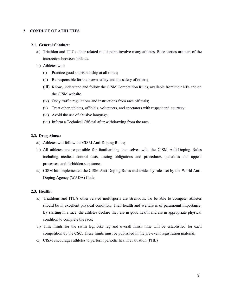## **2. CONDUCT OF ATHLETES**

## **2.1. General Conduct:**

- a.) Triathlon and ITU's other related multisports involve many athletes. Race tactics are part of the interaction between athletes.
- b.) Athletes will:
	- (i) Practice good sportsmanship at all times;
	- (ii) Be responsible for their own safety and the safety of others;
	- (iii) Know, understand and follow the CISM Competition Rules, available from their NFs and on the CISM website.
	- (iv) Obey traffic regulations and instructions from race officials;
	- (v) Treat other athletes, officials, volunteers, and spectators with respect and courtesy;
	- (vi) Avoid the use of abusive language;
	- (vii) Inform a Technical Official after withdrawing from the race.

#### **2.2. Drug Abuse:**

- a.) Athletes will follow the CISM Anti-Doping Rules;
- b.) All athletes are responsible for familiarising themselves with the CISM Anti-Doping Rules including medical control tests, testing obligations and procedures, penalties and appeal processes, and forbidden substances;
- c.) CISM has implemented the CISM Anti-Doping Rules and abides by rules set by the World Anti-Doping Agency (WADA) Code.

#### **2.3. Health:**

- a.) Triathlons and ITU's other related multisports are strenuous. To be able to compete, athletes should be in excellent physical condition. Their health and welfare is of paramount importance. By starting in a race, the athletes declare they are in good health and are in appropriate physical condition to complete the race;
- b.) Time limits for the swim leg, bike leg and overall finish time will be established for each competition by the CSC. These limits must be published in the pre-event registration material.
- c.) CISM encourages athletes to perform periodic health evaluation (PHE)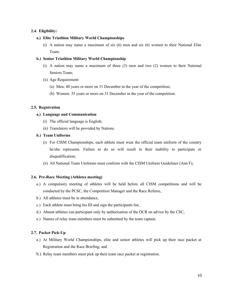## **2.4. Eligibility:**

## **a.) Elite Triathlon Military World Championships**

(i) A nation may name a maximum of six (6) men and six (6) women to their National Elite Team.

## **b.) Senior Triathlon Military World Championship**

- (i) A nation may name a maximum of three (3) men and two (2) women to their National Seniors Team;
- (ii) Age Requirement:
	- (a) Men: 40 years or more on 31 December in the year of the competition;
	- (b) Women: 35 years or more on 31 December in the year of the competition.

## **2.5. Registration**

## **a.) Language and Communication**

- (i) The official language is English;
- (ii) Translators will be provided by Nations.

## **b.) Team Uniforms**

- (i) For CISM Championships, each athlete must wear the official team uniform of the country he/she represents. Failure to do so will result in their inability to participate or disqualification;
- (ii) All National Team Uniforms must conform with the CISM Uniform Guidelines (Ann F);

## **2.6. Pre-Race Meeting (Athletes meeting)**

- a.) A compulsory meeting of athletes will be held before all CISM competitions and will be conducted by the PCSC, the Competition Manager and the Race Referee,
- b.) All athletes must be in attendance,
- c.) Each athlete must bring his ID and sign the participants list,
- d.) Absent athletes can participate only by authorisation of the OCR on advice by the CSC,
- e.) Names of relay team members must be submitted by the team captain.

## **2.7. Packet Pick-Up**

- a.) At Military World Championships, elite and senior athletes will pick up their race packet at Registration and the Race Briefing; and
- b.) Relay team members must pick up their team race packet at registration.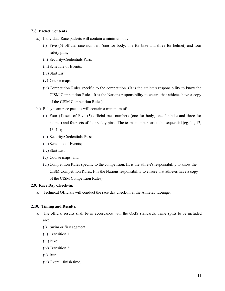## 2.8. **Packet Contents**

- a.) Individual Race packets will contain a minimum of :
	- (i) Five (5) official race numbers (one for body, one for bike and three for helmet) and four safety pins;
	- (ii) Security/Credentials Pass;
	- (iii) Schedule of Events;
	- (iv) Start List;
	- (v) Course maps;
	- (vi) Competition Rules specific to the competition. (It is the athlete's responsibility to know the CISM Competition Rules. It is the Nations responsibility to ensure that athletes have a copy of the CISM Competition Rules).
- b.) Relay team race packets will contain a minimum of:
	- (i) Four (4) sets of Five (5) official race numbers (one for body, one for bike and three for helmet) and four sets of four safety pins. The teams numbers are to be sequential (eg. 11, 12, 13, 14);
	- (ii) Security/Credentials Pass;
	- (iii) Schedule of Events;
	- (iv) Start List;
	- (v) Course maps; and
	- (vi) Competition Rules specific to the competition. (It is the athlete's responsibility to know the CISM Competition Rules. It is the Nations responsibility to ensure that athletes have a copy of the CISM Competition Rules).

#### **2.9. Race Day Check-in:**

a.) Technical Officials will conduct the race day check-in at the Athletes' Lounge.

## **2.10. Timing and Results:**

- a.) The official results shall be in accordance with the ORIS standards. Time splits to be included are:
	- (i) Swim or first segment;
	- (ii) Transition 1;
	- (iii)Bike;
	- (iv) Transition 2;
	- (v) Run;
	- (vi) Overall finish time.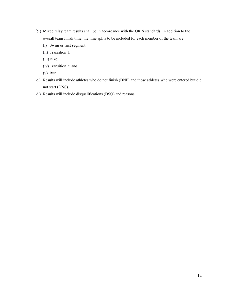- b.) Mixed relay team results shall be in accordance with the ORIS standards. In addition to the overall team finish time, the time splits to be included for each member of the team are:
	- (i) Swim or first segment;
	- (ii) Transition 1;
	- (iii)Bike;
	- (iv) Transition 2; and
	- (v) Run.
- c.) Results will include athletes who do not finish (DNF) and those athletes who were entered but did not start (DNS).
- d.) Results will include disqualifications (DSQ) and reasons;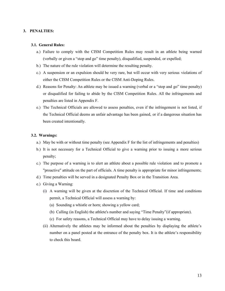#### **3. PENALTIES:**

#### **3.1. General Rules:**

- a.) Failure to comply with the CISM Competition Rules may result in an athlete being warned (verbally or given a "stop and go" time penalty), disqualified, suspended, or expelled;
- b.) The nature of the rule violation will determine the resulting penalty.
- c.) A suspension or an expulsion should be very rare, but will occur with very serious violations of either the CISM Competition Rules or the CISM Anti-Doping Rules.
- d.) Reasons for Penalty: An athlete may be issued a warning (verbal or a "stop and go" time penalty) or disqualified for failing to abide by the CISM Competition Rules. All the infringements and penalties are listed in Appendix F.
- e.) The Technical Officials are allowed to assess penalties, even if the infringement is not listed, if the Technical Official deems an unfair advantage has been gained, or if a dangerous situation has been created intentionally.

#### **3.2. Warnings:**

- a.) May be with or without time penalty (see Appendix F for the list of infringements and penalties)
- b.) It is not necessary for a Technical Official to give a warning prior to issuing a more serious penalty;
- c.) The purpose of a warning is to alert an athlete about a possible rule violation and to promote a "proactive" attitude on the part of officials. A time penalty is appropriate for minor infringements;
- d.) Time penalties will be served in a designated Penalty Box or in the Transition Area.
- e.) Giving a Warning:
	- (i) A warning will be given at the discretion of the Technical Official. If time and conditions permit, a Technical Official will assess a warning by:
		- (a) Sounding a whistle or horn; showing a yellow card;
		- (b) Calling (in English) the athlete's number and saying "Time Penalty"(if appropriate).
		- (c) For safety reasons, a Technical Official may have to delay issuing a warning.
	- (ii) Alternatively the athletes may be informed about the penalties by displaying the athlete's number on a panel posted at the entrance of the penalty box. It is the athlete's responsibility to check this board.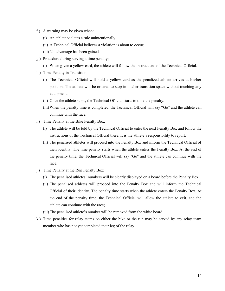- f.) A warning may be given when:
	- (i) An athlete violates a rule unintentionally;
	- (ii) A Technical Official believes a violation is about to occur;
	- (iii)No advantage has been gained.
- g.) Procedure during serving a time penalty;
	- (i) When given a yellow card, the athlete will follow the instructions of the Technical Official.
- h.) Time Penalty in Transition
	- (i) The Technical Official will hold a yellow card as the penalized athlete arrives at his/her position. The athlete will be ordered to stop in his/her transition space without touching any equipment.
	- (ii) Once the athlete stops, the Technical Official starts to time the penalty.
	- (iii)When the penalty time is completed, the Technical Official will say "Go" and the athlete can continue with the race.
- i.) Time Penalty at the Bike Penalty Box:
	- (i) The athlete will be told by the Technical Official to enter the next Penalty Box and follow the instructions of the Technical Official there. It is the athlete's responsibility to report.
	- (ii) The penalised athletes will proceed into the Penalty Box and inform the Technical Official of their identity. The time penalty starts when the athlete enters the Penalty Box. At the end of the penalty time, the Technical Official will say "Go" and the athlete can continue with the race.
- j.) Time Penalty at the Run Penalty Box:
	- (i) The penalised athletes' numbers will be clearly displayed on a board before the Penalty Box;
	- (ii) The penalised athletes will proceed into the Penalty Box and will inform the Technical Official of their identity. The penalty time starts when the athlete enters the Penalty Box. At the end of the penalty time, the Technical Official will allow the athlete to exit, and the athlete can continue with the race;
	- (iii)The penalised athlete's number will be removed from the white board.
- k.) Time penalties for relay teams on either the bike or the run may be served by any relay team member who has not yet completed their leg of the relay.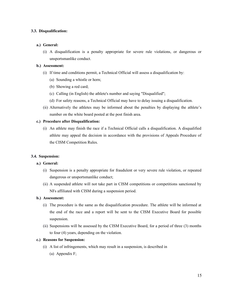## **3.3. Disqualification:**

## **a.) General:**

(i) A disqualification is a penalty appropriate for severe rule violations, or dangerous or unsportsmanlike conduct.

## **b.) Assessment:**

- (i) If time and conditions permit, a Technical Official will assess a disqualification by:
	- (a) Sounding a whistle or horn;
	- (b) Showing a red card;
	- (c) Calling (in English) the athlete's number and saying "Disqualified";
	- (d) For safety reasons, a Technical Official may have to delay issuing a disqualification.
- (ii) Alternatively the athletes may be informed about the penalties by displaying the athlete's number on the white board posted at the post finish area.

## **c.) Procedure after Disqualification:**

(i) An athlete may finish the race if a Technical Official calls a disqualification. A disqualified athlete may appeal the decision in accordance with the provisions of Appeals Procedure of the CISM Competition Rules.

## **3.4. Suspension:**

## **a.) General:**

- (i) Suspension is a penalty appropriate for fraudulent or very severe rule violation, or repeated dangerous or unsportsmanlike conduct;
- (ii) A suspended athlete will not take part in CISM competitions or competitions sanctioned by NFs affiliated with CISM during a suspension period.

#### **b.) Assessment:**

- (i) The procedure is the same as the disqualification procedure. The athlete will be informed at the end of the race and a report will be sent to the CISM Executive Board for possible suspension.
- (ii) Suspensions will be assessed by the CISM Executive Board, for a period of three (3) months to four (4) years, depending on the violation.

## **c.) Reasons for Suspension:**

- (i) A list of infringements, which may result in a suspension, is described in
	- (a) Appendix F;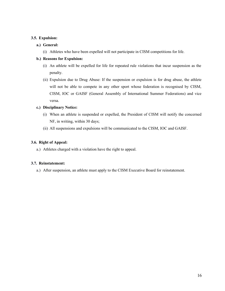## **3.5. Expulsion:**

## **a.) General:**

(i) Athletes who have been expelled will not participate in CISM competitions for life.

## **b.) Reasons for Expulsion:**

- (i) An athlete will be expelled for life for repeated rule violations that incur suspension as the penalty.
- (ii) Expulsion due to Drug Abuse: If the suspension or expulsion is for drug abuse, the athlete will not be able to compete in any other sport whose federation is recognised by CISM, CISM, IOC or GAISF (General Assembly of International Summer Federations) and vice versa.

## **c.) Disciplinary Notice:**

- (i) When an athlete is suspended or expelled, the President of CISM will notify the concerned NF, in writing, within 30 days;
- (ii) All suspensions and expulsions will be communicated to the CISM, IOC and GAISF.

## **3.6. Right of Appeal:**

a.) Athletes charged with a violation have the right to appeal.

## **3.7. Reinstatement:**

a.) After suspension, an athlete must apply to the CISM Executive Board for reinstatement.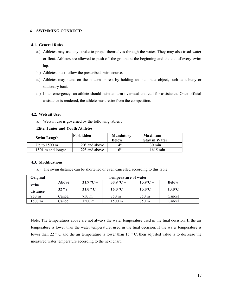## **4. SWIMMING CONDUCT:**

#### **4.1. General Rules:**

- a.) Athletes may use any stroke to propel themselves through the water. They may also tread water or float. Athletes are allowed to push off the ground at the beginning and the end of every swim lap.
- b.) Athletes must follow the prescribed swim course.
- c.) Athletes may stand on the bottom or rest by holding an inanimate object, such as a buoy or stationary boat.
- d.) In an emergency, an athlete should raise an arm overhead and call for assistance. Once official assistance is rendered, the athlete must retire from the competition.

#### **4.2. Wetsuit Use:**

a.) Wetsuit use is governed by the following tables :

#### **Elite, Junior and Youth Athletes**

| <b>Swim Length</b>     | Forbidden              | <b>Mandatory</b><br><b>Below</b> | <b>Maximum</b><br><b>Stay in Water</b> |
|------------------------|------------------------|----------------------------------|----------------------------------------|
| Up to $1500 \text{ m}$ | $20^{\circ}$ and above | 14°                              | $30 \text{ min}$                       |
| 1501 m and longer      | $22^{\circ}$ and above | 16°                              | $1h15$ min                             |

#### **4.3. Modifications**

a.) The swim distance can be shortened or even cancelled according to this table:

| Original | <b>Temperature of water</b> |                  |                   |                       |                  |
|----------|-----------------------------|------------------|-------------------|-----------------------|------------------|
| swim     | Above                       | $31.9 °C -$      | $30.9 °C -$       | $15.9^{\circ}C -$     | <b>Below</b>     |
| distance | $32^{\circ}$ c              | $31.0 \degree$ C | 16.0 $^{\circ}$ C | $15.0$ <sup>o</sup> C | $13.0^{\circ}$ C |
| 750 m    | Cancel                      | $750 \text{ m}$  | 750 m             | 750 m                 | Cancel           |
| 1500 m   | Cancel                      | l 500 m          | 1500 m            | 750 m                 | Cancel           |

Note: The temperatures above are not always the water temperature used in the final decision. If the air temperature is lower than the water temperature, used in the final decision. If the water temperature is lower than 22 ° C and the air temperature is lower than 15 ° C, then adjusted value is to decrease the measured water temperature according to the next chart.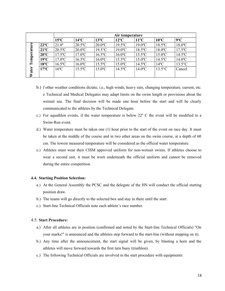|       |                | Air temperature       |                       |                       |                       |                       |                       |                       |
|-------|----------------|-----------------------|-----------------------|-----------------------|-----------------------|-----------------------|-----------------------|-----------------------|
|       |                | $15^{\circ}$ C        | $14^{\circ}$ C        | $13^{\circ}C$         | $12^{\circ}$ C        | $11^{\circ}C$         | $10^{\circ}$ C        | $9^{\circ}C$          |
| Φ     | $22^{\circ}$ C | $21.0^{\circ}$        | $20.5^{\circ}$ C      | $20.0$ °C             | $19.5$ <sup>o</sup> C | $19.0$ <sup>o</sup> C | $18.5$ <sup>o</sup> C | $18.0$ <sup>o</sup> C |
| ಷ     | $21^{\circ}$ C | $20.5$ °C             | $20.0$ <sup>o</sup> C | $19.5^{\circ}$ C      | $19.0$ <sup>o</sup> C | $18.5$ <sup>o</sup> C | $18.0$ <sup>o</sup> C | $17.5$ <sup>o</sup> C |
|       | $20^{\circ}$ C | $17.5$ °C             | $17.0$ <sup>o</sup> C | $16.5$ °C             | $16.0$ <sup>o</sup> C | $15.5^{\circ}$ C      | $15.0$ <sup>o</sup> C | $14.5$ °C             |
| emper | $19^{\circ}C$  | $17.0$ <sup>o</sup> C | $16.5$ <sup>o</sup> C | $16.0$ <sup>o</sup> C | $15.5$ <sup>o</sup> C | $15.0$ <sup>o</sup> C | $14.5^{\circ}$ C      | $14.0$ <sup>o</sup> C |
|       | $18^{\circ}$ C | $16.5$ <sup>o</sup> C | $16.0$ <sup>o</sup> C | $15.5$ <sup>o</sup> C | $15.0$ <sup>o</sup> C | $14.5^{\circ}$ C      | $14^{\circ}$ C        | $13.5^{\circ}$ C      |
| ater  | $17^{\circ}$ C | $16^{\circ}$ C        | $15.5$ <sup>o</sup> C | $15.0$ <sup>o</sup> C | $14.5$ <sup>o</sup> C | $14.0$ <sup>o</sup> C | $13.5^{\circ}$ C      | Cancel                |
|       |                |                       |                       |                       |                       |                       |                       |                       |

- b.) f other weather conditions dictate, i.e., high winds, heavy rain, changing temperature, current, etc. e Technical and Medical Delegates may adapt limits on the swim length or provisions about the wetsuit use. The final decision will be made one hour before the start and will be clearly communicated to the athletes by the Technical Delegate.
- c.) For aquathlon events, if the water temperature is below 22º C the event will be modified to a Swim-Run event.
- d.) Water temperature must be taken one (1) hour prior to the start of the event on race day. It must be taken at the middle of the course and in two other areas on the swim course, at a depth of 60 cm. The lowest measured temperature will be considered as the official water temperature.
- e.) Athletes must wear their CISM approved uniform for non-wetsuit swims. If athletes choose to wear a second suit, it must be worn underneath the official uniform and cannot be removed during the entire competition.

#### **4.4. Starting Position Selection:**

- a.) At the General Assembly the PCSC and the delegate of the HN will conduct the official starting position draw.
- b.) The teams will go directly to the selected box and stay in there until the start.
- c.) Start-line Technical Officials note each athlete's race number.

## 4.5. **Start Procedure:**

- a.) After all athletes are in position (confirmed and noted by the Start-line Technical Officials) "On your marks!" is announced and the athletes step forward to the start-line (without stepping on it).
- b.) Any time after the announcement, the start signal will be given, by blasting a horn and the athletes will move forward towards the first turn buoy (triathlon).
- c.) The following Technical Officials are involved in the start procedure with equipments: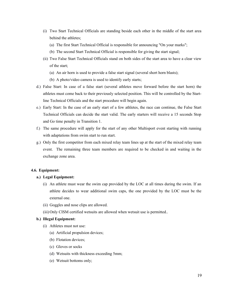- (i) Two Start Technical Officials are standing beside each other in the middle of the start area behind the athletes;
	- (a) The first Start Technical Official is responsible for announcing "On your marks";
	- (b) The second Start Technical Official is responsible for giving the start signal;
- (ii) Two False Start Technical Officials stand on both sides of the start area to have a clear view of the start;
	- (a) An air horn is used to provide a false start signal (several short horn blasts);
	- (b) A photo/video camera is used to identify early starts;
- d.) False Start: In case of a false start (several athletes move forward before the start horn) the athletes must come back to their previously selected position. This will be controlled by the Startline Technical Officials and the start procedure will begin again.
- e.) Early Start: In the case of an early start of a few athletes, the race can continue, the False Start Technical Officials can decide the start valid. The early starters will receive a 15 seconds Stop and Go time penalty in Transition 1.
- f.) The same procedure will apply for the start of any other Multisport event starting with running with adaptations from swim start to run start.
- g.) Only the first competitor from each mixed relay team lines up at the start of the mixed relay team event. The remaining three team members are required to be checked in and waiting in the exchange zone area.

#### **4.6. Equipment:**

#### **a.) Legal Equipment:**

- (i) An athlete must wear the swim cap provided by the LOC at all times during the swim. If an athlete decides to wear additional swim caps, the one provided by the LOC must be the external one.
- (ii) Goggles and nose clips are allowed.
- (iii)Only CISM certified wetsuits are allowed when wetsuit use is permitted..

## **b.) Illegal Equipment:**

- (i) Athletes must not use:
	- (a) Artificial propulsion devices;
	- (b) Flotation devices;
	- (c) Gloves or socks
	- (d) Wetsuits with thickness exceeding 5mm;
	- (e) Wetsuit bottoms only;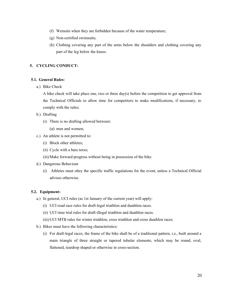- (f) Wetsuits when they are forbidden because of the water temperature;
- (g) Non-certified swimsuits;
- (h) Clothing covering any part of the arms below the shoulders and clothing covering any part of the leg below the knees.

## **5. CYCLING CONDUCT:**

#### **5.1. General Rules:**

a.) Bike Check

A bike check will take place one, two or three day(s) before the competition to get approval from the Technical Officials to allow time for competitors to make modifications, if necessary, to comply with the rules;

- b.) Drafting
	- (i) There is no drafting allowed between:
		- (a) men and women;
- c.) An athlete is not permitted to:
	- (i) Block other athletes;
	- (ii) Cycle with a bare torso;
	- (iii)Make forward progress without being in possession of the bike.
- d.) Dangerous Behaviour
	- (i) Athletes must obey the specific traffic regulations for the event, unless a Technical Official advises otherwise.

## **5.2. Equipment:**

- a.) In general, UCI rules (as 1st January of the current year) will apply:
	- (i) UCI road race rules for draft-legal triathlon and duathlon races.
	- (ii) UCI time trial rules for draft-illegal triathlon and duathlon races.
	- (iii)UCI MTB rules for winter triathlon, cross triathlon and cross duathlon races.
- b.) Bikes must have the following characteristics:
	- (i) For draft-legal races, the frame of the bike shall be of a traditional pattern, i.e., built around a main triangle of three straight or tapered tubular elements, which may be round, oval, flattened, teardrop shaped or otherwise in cross-section.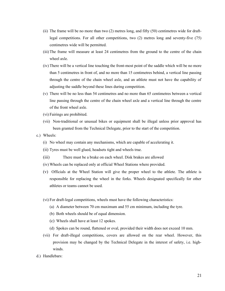- (ii) The frame will be no more than two (2) metres long, and fifty (50) centimetres wide for draftlegal competitions. For all other competitions, two (2) metres long and seventy-five (75) centimetres wide will be permitted.
- (iii)The frame will measure at least 24 centimetres from the ground to the centre of the chain wheel axle.
- (iv) There will be a vertical line touching the front-most point of the saddle which will be no more than 5 centimetres in front of, and no more than 15 centimetres behind, a vertical line passing through the centre of the chain wheel axle, and an athlete must not have the capability of adjusting the saddle beyond these lines during competition.
- (v) There will be no less than 54 centimetres and no more than 65 centimetres between a vertical line passing through the centre of the chain wheel axle and a vertical line through the centre of the front wheel axle.
- (vi) Fairings are prohibited.
- (vii) Non-traditional or unusual bikes or equipment shall be illegal unless prior approval has been granted from the Technical Delegate, prior to the start of the competition.
- c.) Wheels:
	- (i) No wheel may contain any mechanisms, which are capable of accelerating it.
	- (ii) Tyres must be well glued, headsets tight and wheels true.
	- (iii) There must be a brake on each wheel. Disk brakes are allowed
	- (iv) Wheels can be replaced only at official Wheel Stations where provided.
	- (v) Officials at the Wheel Station will give the proper wheel to the athlete. The athlete is responsible for replacing the wheel in the forks. Wheels designated specifically for other athletes or teams cannot be used.
	- (vi) For draft-legal competitions, wheels must have the following characteristics:
		- (a) A diameter between 70 cm maximum and 55 cm minimum, including the tyre.
		- (b) Both wheels should be of equal dimension.
		- (c) Wheels shall have at least 12 spokes.
		- (d) Spokes can be round, flattened or oval, provided their width does not exceed 10 mm.
	- (vii) For draft-illegal competitions, covers are allowed on the rear wheel. However, this provision may be changed by the Technical Delegate in the interest of safety, i.e. highwinds.
- d.) Handlebars: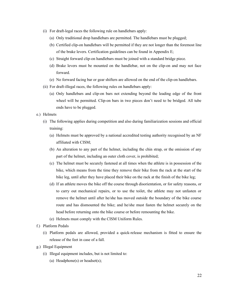- (i) For draft-legal races the following rule on handlebars apply:
	- (a) Only traditional drop handlebars are permitted. The handlebars must be plugged;
	- (b) Certified clip-on handlebars will be permitted if they are not longer than the foremost line of the brake levers. Certification guidelines can be found in Appendix E;
	- (c) Straight forward clip-on handlebars must be joined with a standard bridge piece.
	- (d) Brake levers must be mounted on the handlebar, not on the clip-on and may not face forward.
	- (e) No forward facing bar or gear shifters are allowed on the end of the clip-on handlebars.
- (ii) For draft-illegal races, the following rules on handlebars apply:
	- (a) Only handlebars and clip-on bars not extending beyond the leading edge of the front wheel will be permitted. Clip-on bars in two pieces don't need to be bridged. All tube ends have to be plugged.
- e.) Helmets
	- (i) The following applies during competition and also during familiarization sessions and official training:
		- (a) Helmets must be approved by a national accredited testing authority recognised by an NF affiliated with CISM;
		- (b) An alteration to any part of the helmet, including the chin strap, or the omission of any part of the helmet, including an outer cloth cover, is prohibited;
		- (c) The helmet must be securely fastened at all times when the athlete is in possession of the bike, which means from the time they remove their bike from the rack at the start of the bike leg, until after they have placed their bike on the rack at the finish of the bike leg;
		- (d) If an athlete moves the bike off the course through disorientation, or for safety reasons, or to carry out mechanical repairs, or to use the toilet, the athlete may not unfasten or remove the helmet until after he/she has moved outside the boundary of the bike course route and has dismounted the bike; and he/she must fasten the helmet securely on the head before returning onto the bike course or before remounting the bike.
		- (e) Helmets must comply with the CISM Uniform Rules.
- f.) Platform Pedals
	- (i) Platform pedals are allowed, provided a quick-release mechanism is fitted to ensure the release of the feet in case of a fall.
- g.) Illegal Equipment
	- (i) Illegal equipment includes, but is not limited to:
		- (a) Headphone(s) or headset(s);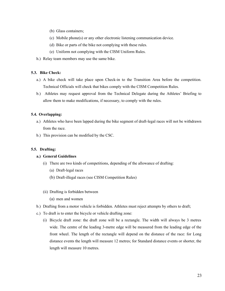- (b) Glass containers;
- (c) Mobile phone(s) or any other electronic listening communication device.
- (d) Bike or parts of the bike not complying with these rules.
- (e) Uniform not complying with the CISM Uniform Rules.
- h.) Relay team members may use the same bike.

#### **5.3. Bike Check:**

- a.) A bike check will take place upon Check-in to the Transition Area before the competition. Technical Officials will check that bikes comply with the CISM Competition Rules.
- b.) Athletes may request approval from the Technical Delegate during the Athletes' Briefing to allow them to make modifications, if necessary, to comply with the rules.

#### **5.4. Overlapping:**

- a.) Athletes who have been lapped during the bike segment of draft-legal races will not be withdrawn from the race.
- b.) This provision can be modified by the CSC.

#### **5.5. Drafting:**

#### **a.) General Guidelines**

- (i) There are two kinds of competitions, depending of the allowance of drafting:
	- (a) Draft-legal races
	- (b) Draft-illegal races (see CISM Competition Rules)
- (ii) Drafting is forbidden between
	- (a) men and women
- b.) Drafting from a motor vehicle is forbidden. Athletes must reject attempts by others to draft;
- c.) To draft is to enter the bicycle or vehicle drafting zone:
	- (i) Bicycle draft zone: the draft zone will be a rectangle. The width will always be 3 metres wide. The centre of the leading 3-metre edge will be measured from the leading edge of the front wheel. The length of the rectangle will depend on the distance of the race: for Long distance events the length will measure 12 metres; for Standard distance events or shorter, the length will measure 10 metres.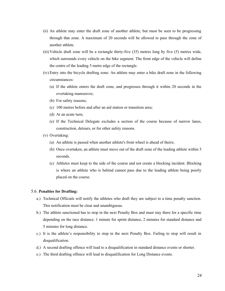- (ii) An athlete may enter the draft zone of another athlete, but must be seen to be progressing through that zone. A maximum of 20 seconds will be allowed to pass through the zone of another athlete.
- (iii)Vehicle draft zone will be a rectangle thirty-five (35) metres long by five (5) metres wide, which surrounds every vehicle on the bike segment. The front edge of the vehicle will define the centre of the leading 5 metre edge of the rectangle.
- (iv) Entry into the bicycle drafting zone: An athlete may enter a bike draft zone in the following circumstances:
	- (a) If the athlete enters the draft zone, and progresses through it within 20 seconds in the overtaking manoeuvre;
	- (b) For safety reasons;
	- (c) 100 metres before and after an aid station or transition area;
	- (d) At an acute turn;
	- (e) If the Technical Delegate excludes a section of the course because of narrow lanes, construction, detours, or for other safety reasons.
- (v) Overtaking:
	- (a) An athlete is passed when another athlete's front wheel is ahead of theirs;
	- (b) Once overtaken, an athlete must move out of the draft zone of the leading athlete within 5 seconds.
	- (c) Athletes must keep to the side of the course and not create a blocking incident. Blocking is where an athlete who is behind cannot pass due to the leading athlete being poorly placed on the course.

#### 5.6. **Penalties for Drafting:**

- a.) Technical Officials will notify the athletes who draft they are subject to a time penalty sanction. This notification must be clear and unambiguous.
- b.) The athlete sanctioned has to stop in the next Penalty Box and must stay there for a specific time depending on the race distance. 1 minute for sprint distance, 2 minutes for standard distance and 5 minutes for long distance.
- c.) It is the athlete's responsibility to stop in the next Penalty Box. Failing to stop will result in disqualification.
- d.) A second drafting offence will lead to a disqualification in standard distance events or shorter.
- e.) The third drafting offence will lead to disqualification for Long Distance events.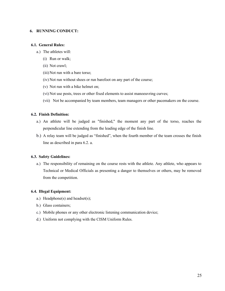#### **6. RUNNING CONDUCT:**

## **6.1. General Rules:**

- a.) The athletes will:
	- (i) Run or walk;
	- (ii) Not crawl;
	- (iii) Not run with a bare torso;
	- (iv) Not run without shoes or run barefoot on any part of the course;
	- (v) Not run with a bike helmet on;
	- (vi) Not use posts, trees or other fixed elements to assist manoeuvring curves;
	- (vii) Not be accompanied by team members, team managers or other pacemakers on the course.

## **6.2. Finish Definition:**

- a.) An athlete will be judged as "finished," the moment any part of the torso, reaches the perpendicular line extending from the leading edge of the finish line.
- b.) A relay team will be judged as "finished", when the fourth member of the team crosses the finish line as described in para 6.2. a.

## **6.3. Safety Guidelines:**

a.) The responsibility of remaining on the course rests with the athlete. Any athlete, who appears to Technical or Medical Officials as presenting a danger to themselves or others, may be removed from the competition.

#### **6.4. Illegal Equipment:**

- a.) Headphone(s) and headset(s);
- b.) Glass containers;
- c.) Mobile phones or any other electronic listening communication device;
- d.) Uniform not complying with the CISM Uniform Rules.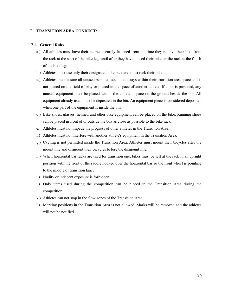#### **7. TRANSITION AREA CONDUCT:**

#### **7.1. General Rules:**

- a.) All athletes must have their helmet securely fastened from the time they remove their bike from the rack at the start of the bike leg, until after they have placed their bike on the rack at the finish of the bike leg;
- b.) Athletes must use only their designated bike rack and must rack their bike;
- c.) Athletes must ensure all unused personal equipment stays within their transition area space and is not placed on the field of play or placed in the space of another athlete. If a bin is provided, any unused equipment must be placed within the athlete's space on the ground beside the bin. All equipment already used must be deposited in the bin. An equipment piece is considered deposited when one part of the equipment is inside the bin.
- d.) Bike shoes, glasses, helmet, and other bike equipment can be placed on the bike. Running shoes can be placed in front of or outside the box as close as possible to the bike rack.
- e.) Athletes must not impede the progress of other athletes in the Transition Area;
- f.) Athletes must not interfere with another athlete's equipment in the Transition Area;
- g.) Cycling is not permitted inside the Transition Area: Athletes must mount their bicycles after the mount line and dismount their bicycles before the dismount line;
- h.) When horizontal bar racks are used for transition one, bikes must be left at the rack in an upright position with the front of the saddle hooked over the horizontal bar so the front wheel is pointing to the middle of transition lane;
- i.) Nudity or indecent exposure is forbidden;
- j.) Only items used during the competition can be placed in the Transition Area during the competition;
- k.) Athletes can not stop in the flow zones of the Transition Area;
- l.) Marking positions in the Transition Area is not allowed. Marks will be removed and the athletes will not be notified.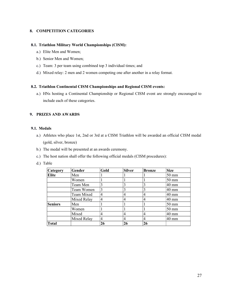## **8. COMPETITION CATEGORIES**

#### **8.1. Triathlon Military World Championships (CISM):**

- a.) Elite Men and Women;
- b.) Senior Men and Women;
- c.) Team: 3 per team using combined top 3 individual times; and
- d.) Mixed relay: 2 men and 2 women competing one after another in a relay format.

#### **8.2. Triathlon Continental CISM Championships and Regional CISM events:**

a.) HNs hosting a Continental Championship or Regional CISM event are strongly encouraged to include each of these categories.

## **9. PRIZES AND AWARDS**

#### **9.1. Medals**

- a.) Athletes who place 1st, 2nd or 3rd at a CISM Triathlon will be awarded an official CISM medal (gold, silver, bronze)
- b.) The medal will be presented at an awards ceremony.
- c.) The host nation shall offer the following official medals (CISM procedures):
- d.) Table

| <b>Category</b> | Gender      | Gold | <b>Silver</b> | <b>Bronze</b> | <b>Size</b>     |
|-----------------|-------------|------|---------------|---------------|-----------------|
| Elite           | Men         |      |               |               | $50 \text{ mm}$ |
|                 | Women       |      |               |               | $50 \text{ mm}$ |
|                 | Team Men    |      | 3             |               | $40 \text{ mm}$ |
|                 | Team Women  | 3    |               |               | $40 \text{ mm}$ |
|                 | Team Mixed  | 4    | 4             |               | $40 \text{ mm}$ |
|                 | Mixed Relay | 4    | 4             |               | 40 mm           |
| Seniors         | Men         |      |               |               | $50 \text{ mm}$ |
|                 | Women       |      |               |               | $50 \text{ mm}$ |
|                 | Mixed       | 4    | 4             |               | 40 mm           |
|                 | Mixed Relay | 4    | 4             | 4             | 40 mm           |
| Total           |             | 26   | 26            | 26            |                 |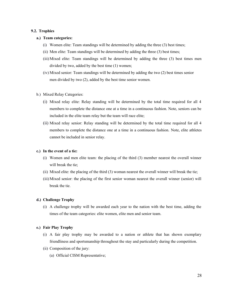#### **9.2. Trophies**

#### **a.) Team categories:**

- (i) Women elite: Team standings will be determined by adding the three (3) best times;
- (ii) Men elite: Team standings will be determined by adding the three (3) best times;
- (iii)Mixed elite: Team standings will be determined by adding the three (3) best times men divided by two, added by the best time (1) women;
- (iv) Mixed senior: Team standings will be determined by adding the two (2) best times senior men divided by two (2), added by the best time senior women.
- b.) Mixed Relay Categories:
	- (i) Mixed relay elite: Relay standing will be determined by the total time required for all 4 members to complete the distance one at a time in a continuous fashion. Note, seniors can be included in the elite team relay but the team will race elite;
	- (ii) Mixed relay senior: Relay standing will be determined by the total time required for all 4 members to complete the distance one at a time in a continuous fashion. Note, elite athletes cannot be included in senior relay.

#### **c.) In the event of a tie:**

- (i) Women and men elite team: the placing of the third (3) member nearest the overall winner will break the tie:
- (ii) Mixed elite: the placing of the third (3) woman nearest the overall winner will break the tie;
- (iii)Mixed senior: the placing of the first senior woman nearest the overall winner (senior) will break the tie.

#### **d.) Challenge Trophy**

(i) A challenge trophy will be awarded each year to the nation with the best time, adding the times of the team categories: elite women, elite men and senior team.

#### **e.) Fair Play Trophy**

- (i) A fair play trophy may be awarded to a nation or athlete that has shown exemplary friendliness and sportsmanship throughout the stay and particularly during the competition.
- (ii) Composition of the jury:
	- (a) Official CISM Representative;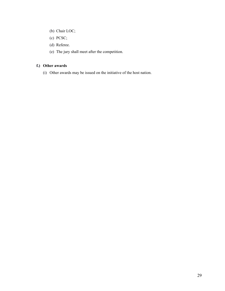- (b) Chair LOC;
- (c) PCSC;
- (d) Referee.
- (e) The jury shall meet after the competition.

## **f.) Other awards**

(i) Other awards may be issued on the initiative of the host nation.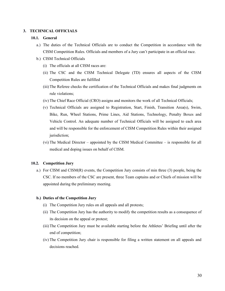#### **3. TECHNICAL OFFICIALS**

#### **10.1. General**

- a.) The duties of the Technical Officials are to conduct the Competition in accordance with the CISM Competition Rules. Officials and members of a Jury can't participate in an official race.
- b.) CISM Technical Officials
	- (i) The officials at all CISM races are:
	- (ii) The CSC and the CISM Technical Delegate (TD) ensures all aspects of the CISM Competition Rules are fulfilled
	- (iii)The Referee checks the certification of the Technical Officials and makes final judgments on rule violations;
	- (iv) The Chief Race Official (CRO) assigns and monitors the work of all Technical Officials;
	- (v) Technical Officials are assigned to Registration, Start, Finish, Transition Area(s), Swim, Bike, Run, Wheel Stations, Prime Lines, Aid Stations, Technology, Penalty Boxes and Vehicle Control. An adequate number of Technical Officials will be assigned to each area and will be responsible for the enforcement of CISM Competition Rules within their assigned jurisdiction;
	- (vi) The Medical Director appointed by the CISM Medical Committee is responsible for all medical and doping issues on behalf of CISM.

#### **10.2. Competition Jury**

a.) For CISM and CISM(R) events, the Competition Jury consists of min three (3) people, being the CSC. If no members of the CSC are present, three Team captains and or Chiefs of mission will be appointed during the preliminary meeting.

#### **b.) Duties of the Competition Jury**

- (i) The Competition Jury rules on all appeals and all protests;
- (ii) The Competition Jury has the authority to modify the competition results as a consequence of its decision on the appeal or protest;
- (iii)The Competition Jury must be available starting before the Athletes' Briefing until after the end of competition;
- (iv) The Competition Jury chair is responsible for filing a written statement on all appeals and decisions reached.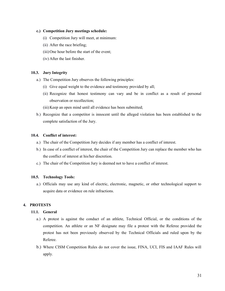#### **c.) Competition Jury meetings schedule:**

- (i) Competition Jury will meet, at minimum:
- (ii) After the race briefing;
- (iii)One hour before the start of the event;
- (iv) After the last finisher.

## **10.3. Jury Integrity**

- a.) The Competition Jury observes the following principles:
	- (i) Give equal weight to the evidence and testimony provided by all;
	- (ii) Recognize that honest testimony can vary and be in conflict as a result of personal observation or recollection;
	- (iii)Keep an open mind until all evidence has been submitted;
- b.) Recognize that a competitor is innocent until the alleged violation has been established to the complete satisfaction of the Jury.

## **10.4. Conflict of interest:**

- a.) The chair of the Competition Jury decides if any member has a conflict of interest.
- b.) In case of a conflict of interest, the chair of the Competition Jury can replace the member who has the conflict of interest at his/her discretion.
- c.) The chair of the Competition Jury is deemed not to have a conflict of interest.

#### **10.5. Technology Tools:**

a.) Officials may use any kind of electric, electronic, magnetic, or other technological support to acquire data or evidence on rule infractions.

## **4. PROTESTS**

## **11.1. General**

- a.) A protest is against the conduct of an athlete, Technical Official, or the conditions of the competition. An athlete or an NF designate may file a protest with the Referee provided the protest has not been previously observed by the Technical Officials and ruled upon by the Referee.
- b.) Where CISM Competition Rules do not cover the issue, FINA, UCI, FIS and IAAF Rules will apply.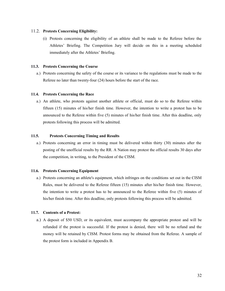#### 11.2. **Protests Concerning Eligibility:**

(i) Protests concerning the eligibility of an athlete shall be made to the Referee before the Athletes' Briefing. The Competition Jury will decide on this in a meeting scheduled immediately after the Athletes' Briefing.

#### **11.3. Protests Concerning the Course**

a.) Protests concerning the safety of the course or its variance to the regulations must be made to the Referee no later than twenty-four (24) hours before the start of the race.

#### **11.4. Protests Concerning the Race**

a.) An athlete, who protests against another athlete or official, must do so to the Referee within fifteen (15) minutes of his/her finish time. However, the intention to write a protest has to be announced to the Referee within five (5) minutes of his/her finish time. After this deadline, only protests following this process will be admitted.

## **11.5. Protests Concerning Timing and Results**

a.) Protests concerning an error in timing must be delivered within thirty (30) minutes after the posting of the unofficial results by the RR. A Nation may protest the official results 30 days after the competition, in writing, to the President of the CISM.

#### **11.6. Protests Concerning Equipment**

a.) Protests concerning an athlete's equipment, which infringes on the conditions set out in the CISM Rules, must be delivered to the Referee fifteen (15) minutes after his/her finish time. However, the intention to write a protest has to be announced to the Referee within five (5) minutes of his/her finish time. After this deadline, only protests following this process will be admitted.

#### **11.7. Contents of a Protest:**

a.) A deposit of \$50 USD, or its equivalent, must accompany the appropriate protest and will be refunded if the protest is successful. If the protest is denied, there will be no refund and the money will be retained by CISM. Protest forms may be obtained from the Referee. A sample of the protest form is included in Appendix B.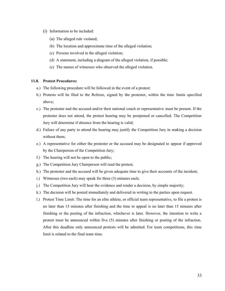- (i) Information to be included:
	- (a) The alleged rule violated;
	- (b) The location and approximate time of the alleged violation;
	- (c) Persons involved in the alleged violation;
	- (d) A statement, including a diagram of the alleged violation, if possible;
	- (e) The names of witnesses who observed the alleged violation.

## **11.8. Protest Procedures:**

- a.) The following procedure will be followed in the event of a protest:
- b.) Protests will be filed to the Referee, signed by the protester, within the time limits specified above;
- c.) The protester and the accused and/or their national coach or representative must be present. If the protester does not attend, the protest hearing may be postponed or cancelled. The Competition Jury will determine if absence from the hearing is valid;
- d.) Failure of any party to attend the hearing may justify the Competition Jury in making a decision without them;
- e.) A representative for either the protester or the accused may be designated to appear if approved by the Chairperson of the Competition Jury;
- f.) The hearing will not be open to the public;
- g.) The Competition Jury Chairperson will read the protest;
- h.) The protester and the accused will be given adequate time to give their accounts of the incident;
- i.) Witnesses (two each) may speak for three (3) minutes each;
- j.) The Competition Jury will hear the evidence and render a decision, by simple majority;
- k.) The decision will be posted immediately and delivered in writing to the parties upon request.
- l.) Protest Time Limit: The time for an elite athlete, or official team representative, to file a protest is no later than 15 minutes after finishing and the time to appeal is no later than 15 minutes after finishing or the posting of the infraction, whichever is later. However, the intention to write a protest must be announced within five (5) minutes after finishing or posting of the infraction. After this deadline only announced protests will be admitted. For team competitions, this time limit is related to the final team time.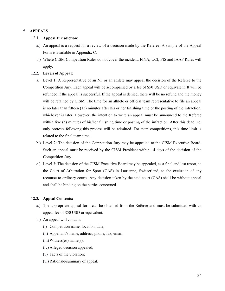## **5. APPEALS**

## 12.1. **Appeal Jurisdiction:**

- a.) An appeal is a request for a review of a decision made by the Referee. A sample of the Appeal Form is available in Appendix C.
- b.) Where CISM Competition Rules do not cover the incident, FINA, UCI, FIS and IAAF Rules will apply.

#### **12.2. Levels of Appeal:**

- a.) Level 1: A Representative of an NF or an athlete may appeal the decision of the Referee to the Competition Jury. Each appeal will be accompanied by a fee of \$50 USD or equivalent. It will be refunded if the appeal is successful. If the appeal is denied, there will be no refund and the money will be retained by CISM. The time for an athlete or official team representative to file an appeal is no later than fifteen (15) minutes after his or her finishing time or the posting of the infraction, whichever is later. However, the intention to write an appeal must be announced to the Referee within five (5) minutes of his/her finishing time or posting of the infraction. After this deadline, only protests following this process will be admitted. For team competitions, this time limit is related to the final team time.
- b.) Level 2: The decision of the Competition Jury may be appealed to the CISM Executive Board. Such an appeal must be received by the CISM President within 14 days of the decision of the Competition Jury.
- c.) Level 3: The decision of the CISM Executive Board may be appealed, as a final and last resort, to the Court of Arbitration for Sport (CAS) in Lausanne, Switzerland, to the exclusion of any recourse to ordinary courts. Any decision taken by the said court (CAS) shall be without appeal and shall be binding on the parties concerned.

## **12.3. Appeal Contents:**

- a.) The appropriate appeal form can be obtained from the Referee and must be submitted with an appeal fee of \$50 USD or equivalent.
- b.) An appeal will contain:
	- (i) Competition name, location, date;
	- (ii) Appellant's name, address, phone, fax, email;
	- $(iii)$  Witness(es) name(s);
	- (iv) Alleged decision appealed;
	- (v) Facts of the violation;
	- (vi) Rationale/summary of appeal.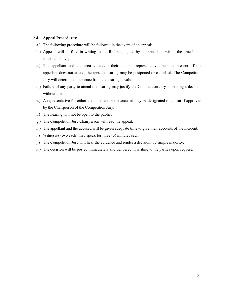## **12.4. Appeal Procedures:**

- a.) The following procedure will be followed in the event of an appeal:
- b.) Appeals will be filed in writing to the Referee, signed by the appellant, within the time limits specified above;
- c.) The appellant and the accused and/or their national representative must be present. If the appellant does not attend, the appeals hearing may be postponed or cancelled. The Competition Jury will determine if absence from the hearing is valid;
- d.) Failure of any party to attend the hearing may justify the Competition Jury in making a decision without them;
- e.) A representative for either the appellant or the accused may be designated to appear if approved by the Chairperson of the Competition Jury;
- f.) The hearing will not be open to the public;
- g.) The Competition Jury Chairperson will read the appeal;
- h.) The appellant and the accused will be given adequate time to give their accounts of the incident;
- i.) Witnesses (two each) may speak for three (3) minutes each;
- j.) The Competition Jury will hear the evidence and render a decision, by simple majority;
- k.) The decision will be posted immediately and delivered in writing to the parties upon request.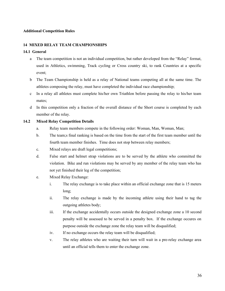## **Additional Competition Rules**

## **14 MIXED RELAY TEAM CHAMPIONSHIPS**

## **14.1 General**

- a The team competition is not an individual competition, but rather developed from the "Relay" format, used in Athletics, swimming, Track cycling or Cross country ski, to rank Countries at a specific event;
- b The Team Championship is held as a relay of National teams competing all at the same time. The athletes composing the relay, must have completed the individual race championship;
- c In a relay all athletes must complete his/her own Triathlon before passing the relay to his/her team mates;
- d In this competition only a fraction of the overall distance of the Short course is completed by each member of the relay.

## **14.2 Mixed Relay Competition Details**

- a. Relay team members compete in the following order: Woman, Man, Woman, Man;
- b. The team;s final ranking is based on the time from the start of the first team member until the fourth team member finishes. Time does not stop between relay members;
- c. Mixed relays are draft legal competitions;
- d. False start and helmet strap violations are to be served by the athlete who committed the violation. Bike and run violations may be served by any member of the relay team who has not yet finished their leg of the competition;
- e. Mixed Relay Exchange:
	- i. The relay exchange is to take place within an official exchange zone that is 15 meters long;
	- ii. The relay exchange is made by the incoming athlete using their hand to tag the outgoing athletes body;
	- iii. If the exchange accidentally occurs outside the designed exchange zone a 10 second penalty will be assessed to be served in a penalty box. If the exchange occures on purpose outside the exchange zone the relay team will be disqualified;
	- iv. If no exchange occurs the relay team will be disqualified;
	- v. The relay athletes who are waiting their turn will wait in a pre-relay exchange area until an official tells them to enter the exchange zone.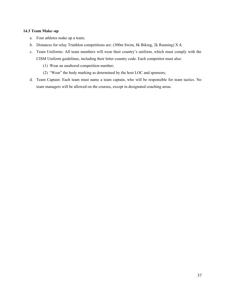## **14.3 Team Make–up**

- a. Four athletes make up a team;
- b. Distances for relay Triathlon competitions are: (300m Swim, 8k Biking, 2k Running) X 4;
- c. Team Uniforms: All team members will wear their country's uniform, which must comply with the CISM Uniform guidelines, including their letter country code. Each competitor must also:
	- (1) Wear an unaltered competition number;
	- (2) "Wear" the body marking as determined by the host LOC and sponsors;
- d. Team Captain: Each team must name a team captain, who will be responsible for team tactics. No team managers will be allowed on the courses, except in designated coaching areas.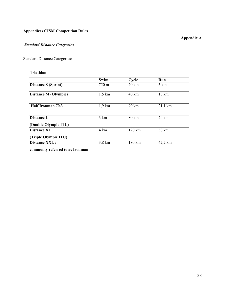# **Appendices CISM Competition Rules**

# *Standard Distance Categories*

Standard Distance Categories:

# **Triathlon**:

|                                                         | Swim             | $C$ vcle | Run               |
|---------------------------------------------------------|------------------|----------|-------------------|
| <b>Distance S (Sprint)</b>                              | 750 m            | 20 km    | 5 km              |
| <b>Distance M (Olympic)</b>                             | $1.5 \text{ km}$ | 40 km    | $10 \text{ km}$   |
| Half Ironman 70.3                                       | $1,9$ km         | 90 km    | $21,1 \text{ km}$ |
| <b>Distance L</b><br>(Double Olympic ITU)               | 3 km             | 80 km    | $20 \mathrm{km}$  |
| <b>Distance XL</b><br>(Triple Olympic ITU)              | 4 km             | 120 km   | $30 \mathrm{km}$  |
| <b>Distance XXL:</b><br>commonly referred to as Ironman | $3,8 \text{ km}$ | 180 km   | 42,2 km           |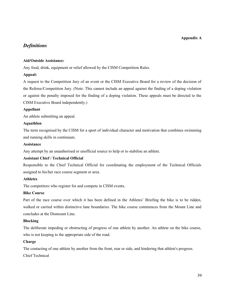## **Appendix A**

# *Definitions*

## **Aid/Outside Assistance:**

Any food, drink, equipment or relief allowed by the CISM Competition Rules.

## **Appeal:**

A request to the Competition Jury of an event or the CISM Executive Board for a review of the decision of the Referee/Competition Jury. (Note: This cannot include an appeal against the finding of a doping violation or against the penalty imposed for the finding of a doping violation. These appeals must be directed to the CISM Executive Board independently.)

## **Appellant**

An athlete submitting an appeal.

## **Aquathlon**

The term recognised by the CISM for a sport of individual character and motivation that combines swimming and running skills in continuum.

## **Assistance**

Any attempt by an unauthorised or unofficial source to help or to stabilise an athlete.

## **Assistant Chief / Technical Official**

Responsible to the Chief Technical Official for coordinating the employment of the Technical Officials assigned to his/her race course segment or area.

## **Athletes**

The competitors who register for and compete in CISM events.

## **Bike Course**

Part of the race course over which it has been defined in the Athletes' Briefing the bike is to be ridden, walked or carried within distinctive lane boundaries. The bike course commences from the Mount Line and concludes at the Dismount Line.

## **Blocking**

The deliberate impeding or obstructing of progress of one athlete by another. An athlete on the bike course, who is not keeping to the appropriate side of the road.

## **Charge**

The contacting of one athlete by another from the front, rear or side, and hindering that athlete's progress.

Chief Technical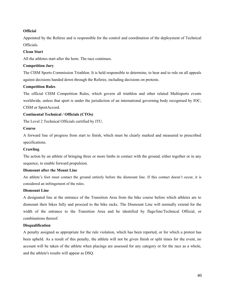## **Official**

Appointed by the Referee and is responsible for the control and coordination of the deployment of Technical Officials.

## **Clean Start**

All the athletes start after the horn. The race continues.

## **Competition Jury**

The CISM Sports Commission Triathlon. It is held responsible to determine, to hear and to rule on all appeals against decisions handed down through the Referee, including decisions on protests.

## **Competition Rules**

The official CISM Competition Rules, which govern all triathlon and other related Multisports events worldwide, unless that sport is under the jurisdiction of an international governing body recognised by IOC, CISM or SportAccord.

## **Continental Technical / Officials (CTOs)**

The Level 2 Technical Officials certified by ITU.

## **Course**

A forward line of progress from start to finish, which must be clearly marked and measured to prescribed specifications.

## **Crawling**

The action by an athlete of bringing three or more limbs in contact with the ground, either together or in any sequence, to enable forward propulsion.

## **Dismount after the Mount Line**

An athlete's foot must contact the ground entirely before the dismount line. If this contact doesn't occur, it is considered an infringement of the rules.

## **Dismount Line**

A designated line at the entrance of the Transition Area from the bike course before which athletes are to dismount their bikes fully and proceed to the bike racks. The Dismount Line will normally extend for the width of the entrance to the Transition Area and be identified by flags/line/Technical Official, or combinations thereof.

## **Disqualification**

A penalty assigned as appropriate for the rule violation, which has been reported, or for which a protest has been upheld. As a result of this penalty, the athlete will not be given finish or split times for the event, no account will be taken of the athlete when placings are assessed for any category or for the race as a whole, and the athlete's results will appear as DSQ.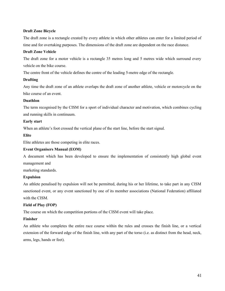## **Draft Zone Bicycle**

The draft zone is a rectangle created by every athlete in which other athletes can enter for a limited period of time and for overtaking purposes. The dimensions of the draft zone are dependent on the race distance.

## **Draft Zone Vehicle**

The draft zone for a motor vehicle is a rectangle 35 metres long and 5 metres wide which surround every vehicle on the bike course.

The centre front of the vehicle defines the centre of the leading 5-metre edge of the rectangle.

## **Drafting**

Any time the draft zone of an athlete overlaps the draft zone of another athlete, vehicle or motorcycle on the bike course of an event.

## **Duathlon**

The term recognised by the CISM for a sport of individual character and motivation, which combines cycling and running skills in continuum.

## **Early start**

When an athlete's foot crossed the vertical plane of the start line, before the start signal.

## **Elite**

Elite athletes are those competing in elite races.

## **Event Organisers Manual (EOM)**

A document which has been developed to ensure the implementation of consistently high global event management and

marketing standards.

## **Expulsion**

An athlete penalised by expulsion will not be permitted, during his or her lifetime, to take part in any CISM sanctioned event, or any event sanctioned by one of its member associations (National Federation) affiliated with the CISM.

## **Field of Play (FOP)**

The course on which the competition portions of the CISM event will take place.

## **Finisher**

An athlete who completes the entire race course within the rules and crosses the finish line, or a vertical extension of the forward edge of the finish line, with any part of the torso (i.e. as distinct from the head, neck, arms, legs, hands or feet).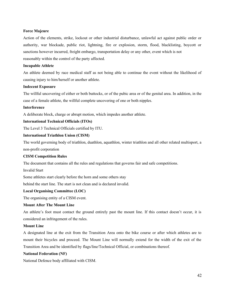## **Force Majeure**

Action of the elements, strike, lockout or other industrial disturbance, unlawful act against public order or authority, war blockade, public riot, lightning, fire or explosion, storm, flood, blacklisting, boycott or sanctions however incurred, freight embargo, transportation delay or any other, event which is not reasonably within the control of the party affected.

## **Incapable Athlete**

An athlete deemed by race medical staff as not being able to continue the event without the likelihood of causing injury to him/herself or another athlete.

## **Indecent Exposure**

The willful uncovering of either or both buttocks, or of the pubic area or of the genital area. In addition, in the case of a female athlete, the willful complete uncovering of one or both nipples.

## **Interference**

A deliberate block, charge or abrupt motion, which impedes another athlete.

## **International Technical Officials (ITOs)**

The Level 3 Technical Officials certified by ITU.

## **International Triathlon Union (CISM)**

The world governing body of triathlon, duathlon, aquathlon, winter triathlon and all other related multisport, a non-profit corporation

## **CISM Competition Rules**

The document that contains all the rules and regulations that governs fair and safe competitions.

Invalid Start

Some athletes start clearly before the horn and some others stay

behind the start line. The start is not clean and is declared invalid.

## **Local Organising Committee (LOC)**

The organising entity of a CISM event.

## **Mount After The Mount Line**

An athlete's foot must contact the ground entirely past the mount line. If this contact doesn't occur, it is considered an infringement of the rules.

## **Mount Line**

A designated line at the exit from the Transition Area onto the bike course or after which athletes are to mount their bicycles and proceed. The Mount Line will normally extend for the width of the exit of the Transition Area and be identified by flags/line/Technical Official, or combinations thereof.

## **National Federation (NF)**

National Defence body affiliated with CISM.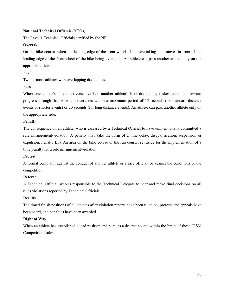## **National Technical Officials (NTOs)**

The Level 1 Technical Officials certified by the NF.

## **Overtake**

On the bike course, when the leading edge of the front wheel of the overtaking bike moves in front of the leading edge of the front wheel of the bike being overtaken. An athlete can pass another athlete only on the appropriate side.

## **Pack**

Two or more athletes with overlapping draft zones.

#### **Pass**

When one athlete's bike draft zone overlaps another athlete's bike draft zone, makes continual forward progress through that zone and overtakes within a maximum period of 15 seconds (for standard distance events or shorter events) or 20 seconds (for long distance events). An athlete can pass another athlete only on the appropriate side.

## **Penalty**

The consequence on an athlete, who is assessed by a Technical Official to have unintentionally committed a rule infringement/violation. A penalty may take the form of a time delay, disqualification, suspension or expulsion. Penalty Box An area on the bike course or the run course, set aside for the implementation of a time penalty for a rule infringement/violation.

## **Protest**

A formal complaint against the conduct of another athlete or a race official, or against the conditions of the competition.

## **Referee**

A Technical Official, who is responsible to the Technical Delegate to hear and make final decisions on all rules violations reported by Technical Officials.

## **Results**

The timed finish positions of all athletes after violation reports have been ruled on, protests and appeals have been heard, and penalties have been awarded.

#### **Right of Way**

When an athlete has established a lead position and pursues a desired course within the limits of these CISM Competition Rules.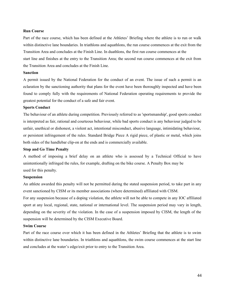#### **Run Course**

Part of the race course, which has been defined at the Athletes' Briefing where the athlete is to run or walk within distinctive lane boundaries. In triathlons and aquathlons, the run course commences at the exit from the Transition Area and concludes at the Finish Line. In duathlons, the first run course commences at the start line and finishes at the entry to the Transition Area; the second run course commences at the exit from the Transition Area and concludes at the Finish Line.

#### **Sanction**

A permit issued by the National Federation for the conduct of an event. The issue of such a permit is an eclaration by the sanctioning authority that plans for the event have been thoroughly inspected and have been found to comply fully with the requirements of National Federation operating requirements to provide the greatest potential for the conduct of a safe and fair event.

#### **Sports Conduct**

The behaviour of an athlete during competition. Previously referred to as 'sportsmanship', good sports conduct is interpreted as fair, rational and courteous behaviour, while bad sports conduct is any behaviour judged to be unfair, unethical or dishonest, a violent act, intentional misconduct, abusive language, intimidating behaviour, or persistent infringement of the rules. Standard Bridge Piece A rigid piece, of plastic or metal, which joins both sides of the handlebar clip-on at the ends and is commercially available.

#### **Stop and Go Time Penalty**

A method of imposing a brief delay on an athlete who is assessed by a Technical Official to have unintentionally infringed the rules, for example, drafting on the bike course. A Penalty Box may be used for this penalty.

#### **Suspension**

An athlete awarded this penalty will not be permitted during the stated suspension period, to take part in any event sanctioned by CISM or its member associations (where determined) affiliated with CISM.

For any suspension because of a doping violation, the athlete will not be able to compete in any IOC affiliated sport at any local, regional, state, national or international level. The suspension period may vary in length, depending on the severity of the violation. In the case of a suspension imposed by CISM, the length of the suspension will be determined by the CISM Executive Board.

#### **Swim Course**

Part of the race course over which it has been defined in the Athletes' Briefing that the athlete is to swim within distinctive lane boundaries. In triathlons and aquathlons, the swim course commences at the start line and concludes at the water's edge/exit prior to entry to the Transition Area.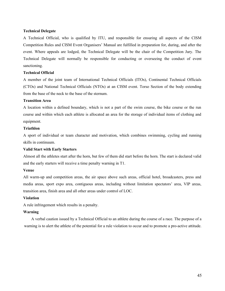#### **Technical Delegate**

A Technical Official, who is qualified by ITU, and responsible for ensuring all aspects of the CISM Competition Rules and CISM Event Organisers' Manual are fulfilled in preparation for, during, and after the event. Where appeals are lodged, the Technical Delegate will be the chair of the Competition Jury. The Technical Delegate will normally be responsible for conducting or overseeing the conduct of event sanctioning.

#### **Technical Official**

A member of the joint team of International Technical Officials (ITOs), Continental Technical Officials (CTOs) and National Technical Officials (NTOs) at an CISM event. Torso Section of the body extending from the base of the neck to the base of the sternum.

#### **Transition Area**

A location within a defined boundary, which is not a part of the swim course, the bike course or the run course and within which each athlete is allocated an area for the storage of individual items of clothing and equipment.

#### **Triathlon**

A sport of individual or team character and motivation, which combines swimming, cycling and running skills in continuum.

## **Valid Start with Early Starters**

Almost all the athletes start after the horn, but few of them did start before the horn. The start is declared valid and the early starters will receive a time penalty warning in T1.

#### **Venue**

All warm-up and competition areas, the air space above such areas, official hotel, broadcasters, press and media areas, sport expo area, contiguous areas, including without limitation spectators' area, VIP areas, transition area, finish area and all other areas under control of LOC.

#### **Violation**

A rule infringement which results in a penalty.

## **Warning**

A verbal caution issued by a Technical Official to an athlete during the course of a race. The purpose of a warning is to alert the athlete of the potential for a rule violation to occur and to promote a pro-active attitude.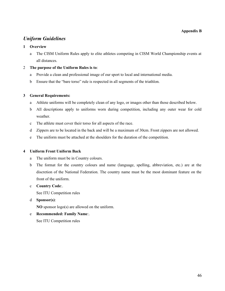## **Appendix B**

# *Uniform Guidelines*

## **1 Overview**

a The CISM Uniform Rules apply to elite athletes competing in CISM World Championship events at all distances.

## 2 **The purpose of the Uniform Rules is to**:

- a Provide a clean and professional image of our sport to local and international media.
- b Ensure that the "bare torso" rule is respected in all segments of the triathlon.

## **3 General Requirements:**

- a Athlete uniforms will be completely clean of any logo, or images other than those described below.
- b All descriptions apply to uniforms worn during competition, including any outer wear for cold weather.
- c The athlete must cover their torso for all aspects of the race.
- d Zippers are to be located in the back and will be a maximum of 30cm. Front zippers are not allowed.
- e The uniform must be attached at the shoulders for the duration of the competition.

## **4 Uniform Front Uniform Back**

- a The uniform must be in Country colours.
- b The format for the country colours and name (language, spelling, abbreviation, etc.) are at the discretion of the National Federation. The country name must be the most dominant feature on the front of the uniform.

## c **Country Code**:.

See ITU Competition rules

d **Sponsor(s)**:

**NO** sponsor logo(s) are allowed on the uniform.

e **Recommended: Family Name**:.

See ITU Competition rules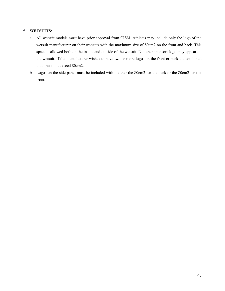## **5 WETSUITS:**

- a All wetsuit models must have prior approval from CISM. Athletes may include only the logo of the wetsuit manufacturer on their wetsuits with the maximum size of 80cm2 on the front and back. This space is allowed both on the inside and outside of the wetsuit. No other sponsors logo may appear on the wetsuit. If the manufacturer wishes to have two or more logos on the front or back the combined total must not exceed 80cm2.
- b Logos on the side panel must be included within either the 80cm2 for the back or the 80cm2 for the front.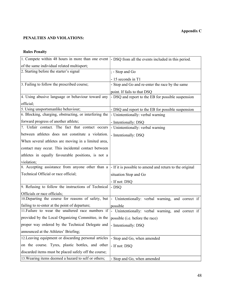# **PENALTIES AND VIOLATIONS:**

# **Rules Penalty**

| 1. Compete within 48 hours in more than one event                                  | - DSQ from all the events included in this period.      |
|------------------------------------------------------------------------------------|---------------------------------------------------------|
| of the same individual related multisport;                                         |                                                         |
| 2. Starting before the starter's signal                                            | ; - Stop and Go                                         |
|                                                                                    | - 15 seconds in T1                                      |
| 3. Failing to follow the prescribed course;                                        | - Stop and Go and re-enter the race by the same         |
|                                                                                    | point. If fails to that DSQ                             |
| 4. Using abusive language or behaviour toward any                                  | - DSQ and report to the EB for possible suspension      |
| official;                                                                          |                                                         |
| 5. Using unsportsmanlike behaviour;                                                | - DSQ and report to the EB for possible suspension      |
| 6. Blocking, charging, obstructing, or interfering the                             | - Unintentionally: verbal warning                       |
| forward progress of another athlete;                                               | - Intentionally: DSQ                                    |
| 7. Unfair contact. The fact that contact occurs                                    | - Unintentionally: verbal warning                       |
| between athletes does not constitute a violation.                                  | - Intentionally: DSQ                                    |
| When several athletes are moving in a limited area,                                |                                                         |
| contact may occur. This incidental contact between                                 |                                                         |
| athletes in equally favourable positions, is not a                                 |                                                         |
| violation;                                                                         |                                                         |
| 8. Accepting assistance from anyone other than a                                   | - If it is possible to amend and return to the original |
| Technical Official or race official;                                               | situation Stop and Go                                   |
|                                                                                    | - If not: DSQ                                           |
| 9. Refusing to follow the instructions of Technical                                | - DSQ                                                   |
| Officials or race officials;                                                       |                                                         |
| 10. Departing the course for reasons of safety, but                                | - Unintentionally: verbal warning, and correct if       |
| failing to re-enter at the point of departure;                                     | possible                                                |
| 11. Failure to wear the unaltered race numbers if                                  | - Unintentionally: verbal warning, and correct if       |
| provided by the Local Organizing Committee, in the possible (i.e. before the race) |                                                         |
| proper way ordered by the Technical Delegate and                                   | - Intentionally: DSQ                                    |
| announced at the Athletes' Briefing;                                               |                                                         |
| 12. Leaving equipment or discarding personal articles                              | Stop and Go, when amended                               |
| on the course. Tyres, plastic bottles, and other                                   | - If not: DSQ                                           |
| discarded items must be placed safely off the course;                              |                                                         |
| 13. Wearing items deemed a hazard to self or others;                               | - Stop and Go, when amended                             |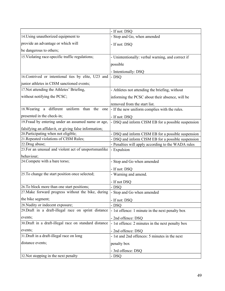| 14. Using unauthorized equipment to<br>- Stop and Go, when amended<br>provide an advantage or which will<br>- If not: DSQ<br>be dangerous to others;<br>15. Violating race-specific traffic regulations;<br>- Unintentionally: verbal warning, and correct if<br>possible<br>- Intentionally: DSQ<br>16. Contrived or intentional ties by elite, U23 and<br>- DSQ<br>junior athletes in CISM sanctioned events;<br>17. Not attending the Athletes' Briefing,<br>- Athletes not attending the briefing, without<br>without notifying the PCSC;<br>informing the PCSC about their absence, will be<br>removed from the start list.<br>18. Wearing a different uniform than the one<br>- If the new uniform complies with the rules.<br>presented in the check-in;<br>- If not: DSQ<br>19. Fraud by entering under an assumed name or age,<br>- DSQ and inform CISM EB for a possible suspension<br>falsifying an affidavit, or giving false information;<br>20. Participating when not eligible;<br>- DSQ and inform CISM EB for a possible suspension<br>21. Repeated violations of CISM Rules;<br>- DSQ and inform CISM EB for a possible suspension<br>22.Drug abuse;<br>- Penalties will apply according to the WADA rules<br>23. For an unusual and violent act of unsportsmanlike<br>- Expulsion<br>behaviour;<br>24. Compete with a bare torso;<br>- Stop and Go when amended<br>- If not: DSQ<br>25. To change the start position once selected;<br>- Warning and amend.<br>- If not DSQ<br>26. To block more than one start positions;<br>- DSQ<br>27. Make forward progress without the bike, during<br>Stop and Go when amended<br>the bike segment;<br>- If not: DSQ<br>28. Nudity or indecent exposure;<br>- DSQ<br>29. Draft in a draft-illegal race on sprint distance<br>- 1st offence: 1 minute in the next penalty box<br>events;<br>- 2nd offence: DSQ<br>30. Draft in a draft-illegal race on standard distance<br>- 1st offence: 2 minutes in the next penalty box<br>events;<br>- 2nd offence: DSQ<br>31. Draft in a draft-illegal race on long<br>- 1st and 2nd offences: 5 minutes in the next<br>distance events;<br>penalty box<br>- 3rd offence: DSQ<br>32. Not stopping in the next penalty<br>- DSQ | - If not: DSQ |
|--------------------------------------------------------------------------------------------------------------------------------------------------------------------------------------------------------------------------------------------------------------------------------------------------------------------------------------------------------------------------------------------------------------------------------------------------------------------------------------------------------------------------------------------------------------------------------------------------------------------------------------------------------------------------------------------------------------------------------------------------------------------------------------------------------------------------------------------------------------------------------------------------------------------------------------------------------------------------------------------------------------------------------------------------------------------------------------------------------------------------------------------------------------------------------------------------------------------------------------------------------------------------------------------------------------------------------------------------------------------------------------------------------------------------------------------------------------------------------------------------------------------------------------------------------------------------------------------------------------------------------------------------------------------------------------------------------------------------------------------------------------------------------------------------------------------------------------------------------------------------------------------------------------------------------------------------------------------------------------------------------------------------------------------------------------------------------------------------------------------------------------------------------------------------------------------------------------------------------|---------------|
|                                                                                                                                                                                                                                                                                                                                                                                                                                                                                                                                                                                                                                                                                                                                                                                                                                                                                                                                                                                                                                                                                                                                                                                                                                                                                                                                                                                                                                                                                                                                                                                                                                                                                                                                                                                                                                                                                                                                                                                                                                                                                                                                                                                                                                |               |
|                                                                                                                                                                                                                                                                                                                                                                                                                                                                                                                                                                                                                                                                                                                                                                                                                                                                                                                                                                                                                                                                                                                                                                                                                                                                                                                                                                                                                                                                                                                                                                                                                                                                                                                                                                                                                                                                                                                                                                                                                                                                                                                                                                                                                                |               |
|                                                                                                                                                                                                                                                                                                                                                                                                                                                                                                                                                                                                                                                                                                                                                                                                                                                                                                                                                                                                                                                                                                                                                                                                                                                                                                                                                                                                                                                                                                                                                                                                                                                                                                                                                                                                                                                                                                                                                                                                                                                                                                                                                                                                                                |               |
|                                                                                                                                                                                                                                                                                                                                                                                                                                                                                                                                                                                                                                                                                                                                                                                                                                                                                                                                                                                                                                                                                                                                                                                                                                                                                                                                                                                                                                                                                                                                                                                                                                                                                                                                                                                                                                                                                                                                                                                                                                                                                                                                                                                                                                |               |
|                                                                                                                                                                                                                                                                                                                                                                                                                                                                                                                                                                                                                                                                                                                                                                                                                                                                                                                                                                                                                                                                                                                                                                                                                                                                                                                                                                                                                                                                                                                                                                                                                                                                                                                                                                                                                                                                                                                                                                                                                                                                                                                                                                                                                                |               |
|                                                                                                                                                                                                                                                                                                                                                                                                                                                                                                                                                                                                                                                                                                                                                                                                                                                                                                                                                                                                                                                                                                                                                                                                                                                                                                                                                                                                                                                                                                                                                                                                                                                                                                                                                                                                                                                                                                                                                                                                                                                                                                                                                                                                                                |               |
|                                                                                                                                                                                                                                                                                                                                                                                                                                                                                                                                                                                                                                                                                                                                                                                                                                                                                                                                                                                                                                                                                                                                                                                                                                                                                                                                                                                                                                                                                                                                                                                                                                                                                                                                                                                                                                                                                                                                                                                                                                                                                                                                                                                                                                |               |
|                                                                                                                                                                                                                                                                                                                                                                                                                                                                                                                                                                                                                                                                                                                                                                                                                                                                                                                                                                                                                                                                                                                                                                                                                                                                                                                                                                                                                                                                                                                                                                                                                                                                                                                                                                                                                                                                                                                                                                                                                                                                                                                                                                                                                                |               |
|                                                                                                                                                                                                                                                                                                                                                                                                                                                                                                                                                                                                                                                                                                                                                                                                                                                                                                                                                                                                                                                                                                                                                                                                                                                                                                                                                                                                                                                                                                                                                                                                                                                                                                                                                                                                                                                                                                                                                                                                                                                                                                                                                                                                                                |               |
|                                                                                                                                                                                                                                                                                                                                                                                                                                                                                                                                                                                                                                                                                                                                                                                                                                                                                                                                                                                                                                                                                                                                                                                                                                                                                                                                                                                                                                                                                                                                                                                                                                                                                                                                                                                                                                                                                                                                                                                                                                                                                                                                                                                                                                |               |
|                                                                                                                                                                                                                                                                                                                                                                                                                                                                                                                                                                                                                                                                                                                                                                                                                                                                                                                                                                                                                                                                                                                                                                                                                                                                                                                                                                                                                                                                                                                                                                                                                                                                                                                                                                                                                                                                                                                                                                                                                                                                                                                                                                                                                                |               |
|                                                                                                                                                                                                                                                                                                                                                                                                                                                                                                                                                                                                                                                                                                                                                                                                                                                                                                                                                                                                                                                                                                                                                                                                                                                                                                                                                                                                                                                                                                                                                                                                                                                                                                                                                                                                                                                                                                                                                                                                                                                                                                                                                                                                                                |               |
|                                                                                                                                                                                                                                                                                                                                                                                                                                                                                                                                                                                                                                                                                                                                                                                                                                                                                                                                                                                                                                                                                                                                                                                                                                                                                                                                                                                                                                                                                                                                                                                                                                                                                                                                                                                                                                                                                                                                                                                                                                                                                                                                                                                                                                |               |
|                                                                                                                                                                                                                                                                                                                                                                                                                                                                                                                                                                                                                                                                                                                                                                                                                                                                                                                                                                                                                                                                                                                                                                                                                                                                                                                                                                                                                                                                                                                                                                                                                                                                                                                                                                                                                                                                                                                                                                                                                                                                                                                                                                                                                                |               |
|                                                                                                                                                                                                                                                                                                                                                                                                                                                                                                                                                                                                                                                                                                                                                                                                                                                                                                                                                                                                                                                                                                                                                                                                                                                                                                                                                                                                                                                                                                                                                                                                                                                                                                                                                                                                                                                                                                                                                                                                                                                                                                                                                                                                                                |               |
|                                                                                                                                                                                                                                                                                                                                                                                                                                                                                                                                                                                                                                                                                                                                                                                                                                                                                                                                                                                                                                                                                                                                                                                                                                                                                                                                                                                                                                                                                                                                                                                                                                                                                                                                                                                                                                                                                                                                                                                                                                                                                                                                                                                                                                |               |
|                                                                                                                                                                                                                                                                                                                                                                                                                                                                                                                                                                                                                                                                                                                                                                                                                                                                                                                                                                                                                                                                                                                                                                                                                                                                                                                                                                                                                                                                                                                                                                                                                                                                                                                                                                                                                                                                                                                                                                                                                                                                                                                                                                                                                                |               |
|                                                                                                                                                                                                                                                                                                                                                                                                                                                                                                                                                                                                                                                                                                                                                                                                                                                                                                                                                                                                                                                                                                                                                                                                                                                                                                                                                                                                                                                                                                                                                                                                                                                                                                                                                                                                                                                                                                                                                                                                                                                                                                                                                                                                                                |               |
|                                                                                                                                                                                                                                                                                                                                                                                                                                                                                                                                                                                                                                                                                                                                                                                                                                                                                                                                                                                                                                                                                                                                                                                                                                                                                                                                                                                                                                                                                                                                                                                                                                                                                                                                                                                                                                                                                                                                                                                                                                                                                                                                                                                                                                |               |
|                                                                                                                                                                                                                                                                                                                                                                                                                                                                                                                                                                                                                                                                                                                                                                                                                                                                                                                                                                                                                                                                                                                                                                                                                                                                                                                                                                                                                                                                                                                                                                                                                                                                                                                                                                                                                                                                                                                                                                                                                                                                                                                                                                                                                                |               |
|                                                                                                                                                                                                                                                                                                                                                                                                                                                                                                                                                                                                                                                                                                                                                                                                                                                                                                                                                                                                                                                                                                                                                                                                                                                                                                                                                                                                                                                                                                                                                                                                                                                                                                                                                                                                                                                                                                                                                                                                                                                                                                                                                                                                                                |               |
|                                                                                                                                                                                                                                                                                                                                                                                                                                                                                                                                                                                                                                                                                                                                                                                                                                                                                                                                                                                                                                                                                                                                                                                                                                                                                                                                                                                                                                                                                                                                                                                                                                                                                                                                                                                                                                                                                                                                                                                                                                                                                                                                                                                                                                |               |
|                                                                                                                                                                                                                                                                                                                                                                                                                                                                                                                                                                                                                                                                                                                                                                                                                                                                                                                                                                                                                                                                                                                                                                                                                                                                                                                                                                                                                                                                                                                                                                                                                                                                                                                                                                                                                                                                                                                                                                                                                                                                                                                                                                                                                                |               |
|                                                                                                                                                                                                                                                                                                                                                                                                                                                                                                                                                                                                                                                                                                                                                                                                                                                                                                                                                                                                                                                                                                                                                                                                                                                                                                                                                                                                                                                                                                                                                                                                                                                                                                                                                                                                                                                                                                                                                                                                                                                                                                                                                                                                                                |               |
|                                                                                                                                                                                                                                                                                                                                                                                                                                                                                                                                                                                                                                                                                                                                                                                                                                                                                                                                                                                                                                                                                                                                                                                                                                                                                                                                                                                                                                                                                                                                                                                                                                                                                                                                                                                                                                                                                                                                                                                                                                                                                                                                                                                                                                |               |
|                                                                                                                                                                                                                                                                                                                                                                                                                                                                                                                                                                                                                                                                                                                                                                                                                                                                                                                                                                                                                                                                                                                                                                                                                                                                                                                                                                                                                                                                                                                                                                                                                                                                                                                                                                                                                                                                                                                                                                                                                                                                                                                                                                                                                                |               |
|                                                                                                                                                                                                                                                                                                                                                                                                                                                                                                                                                                                                                                                                                                                                                                                                                                                                                                                                                                                                                                                                                                                                                                                                                                                                                                                                                                                                                                                                                                                                                                                                                                                                                                                                                                                                                                                                                                                                                                                                                                                                                                                                                                                                                                |               |
|                                                                                                                                                                                                                                                                                                                                                                                                                                                                                                                                                                                                                                                                                                                                                                                                                                                                                                                                                                                                                                                                                                                                                                                                                                                                                                                                                                                                                                                                                                                                                                                                                                                                                                                                                                                                                                                                                                                                                                                                                                                                                                                                                                                                                                |               |
|                                                                                                                                                                                                                                                                                                                                                                                                                                                                                                                                                                                                                                                                                                                                                                                                                                                                                                                                                                                                                                                                                                                                                                                                                                                                                                                                                                                                                                                                                                                                                                                                                                                                                                                                                                                                                                                                                                                                                                                                                                                                                                                                                                                                                                |               |
|                                                                                                                                                                                                                                                                                                                                                                                                                                                                                                                                                                                                                                                                                                                                                                                                                                                                                                                                                                                                                                                                                                                                                                                                                                                                                                                                                                                                                                                                                                                                                                                                                                                                                                                                                                                                                                                                                                                                                                                                                                                                                                                                                                                                                                |               |
|                                                                                                                                                                                                                                                                                                                                                                                                                                                                                                                                                                                                                                                                                                                                                                                                                                                                                                                                                                                                                                                                                                                                                                                                                                                                                                                                                                                                                                                                                                                                                                                                                                                                                                                                                                                                                                                                                                                                                                                                                                                                                                                                                                                                                                |               |
|                                                                                                                                                                                                                                                                                                                                                                                                                                                                                                                                                                                                                                                                                                                                                                                                                                                                                                                                                                                                                                                                                                                                                                                                                                                                                                                                                                                                                                                                                                                                                                                                                                                                                                                                                                                                                                                                                                                                                                                                                                                                                                                                                                                                                                |               |
|                                                                                                                                                                                                                                                                                                                                                                                                                                                                                                                                                                                                                                                                                                                                                                                                                                                                                                                                                                                                                                                                                                                                                                                                                                                                                                                                                                                                                                                                                                                                                                                                                                                                                                                                                                                                                                                                                                                                                                                                                                                                                                                                                                                                                                |               |
|                                                                                                                                                                                                                                                                                                                                                                                                                                                                                                                                                                                                                                                                                                                                                                                                                                                                                                                                                                                                                                                                                                                                                                                                                                                                                                                                                                                                                                                                                                                                                                                                                                                                                                                                                                                                                                                                                                                                                                                                                                                                                                                                                                                                                                |               |
|                                                                                                                                                                                                                                                                                                                                                                                                                                                                                                                                                                                                                                                                                                                                                                                                                                                                                                                                                                                                                                                                                                                                                                                                                                                                                                                                                                                                                                                                                                                                                                                                                                                                                                                                                                                                                                                                                                                                                                                                                                                                                                                                                                                                                                |               |
|                                                                                                                                                                                                                                                                                                                                                                                                                                                                                                                                                                                                                                                                                                                                                                                                                                                                                                                                                                                                                                                                                                                                                                                                                                                                                                                                                                                                                                                                                                                                                                                                                                                                                                                                                                                                                                                                                                                                                                                                                                                                                                                                                                                                                                |               |
|                                                                                                                                                                                                                                                                                                                                                                                                                                                                                                                                                                                                                                                                                                                                                                                                                                                                                                                                                                                                                                                                                                                                                                                                                                                                                                                                                                                                                                                                                                                                                                                                                                                                                                                                                                                                                                                                                                                                                                                                                                                                                                                                                                                                                                |               |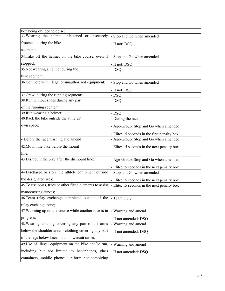| box being obliged to do so;                               |                                              |
|-----------------------------------------------------------|----------------------------------------------|
| 33. Wearing the helmet unfastened or insecurely           | - Stop and Go when amended                   |
| fastened, during the bike                                 | - If not: DSQ                                |
| segment;                                                  |                                              |
| 34. Take off the helmet on the bike course, even if       | - Stop and Go when amended                   |
| stopped;                                                  | - If not: DSQ                                |
| 35. Not wearing a helmet during the                       | - DSQ                                        |
| bike segment;                                             |                                              |
| 36. Compete with illegal or unauthorized equipment;       | - Stop and Go when amended                   |
|                                                           | - If not: DSQ                                |
| 37. Crawl during the running segment;                     | - DSQ                                        |
| 38. Run without shoes during any part                     | - DSQ                                        |
| of the running segment;                                   |                                              |
| 39. Run wearing a helmet;                                 | - DSQ                                        |
| 40. Rack the bike outside the athletes'                   | - During the race:                           |
| own space;                                                | - Age-Group: Stop and Go when amended        |
|                                                           | - Elite: 15 seconds in the first penalty box |
| - Before the race warning and amend                       | - Age-Group: Stop and Go when amended        |
| 42. Mount the bike before the mount                       | - Elite: 15 seconds in the next penalty box  |
| line;                                                     |                                              |
| 43. Dismount the bike after the dismount line;            | - Age-Group: Stop and Go when amended        |
|                                                           | - Elite: 15 seconds in the next penalty box  |
| 44. Discharge or store the athlete equipment outside      | - Stop and Go when amended                   |
| the designated area;                                      | - Elite: 15 seconds in the next penalty box  |
| 45. To use posts, trees or other fixed elements to assist | - Elite: 15 seconds in the next penalty box  |
| manoeuvring curves;                                       |                                              |
| 46. Team relay exchange completed outside of the          | - Team DSQ                                   |
| relay exchange zone;                                      |                                              |
| 47. Warming up on the course while another race is in     | - Warning and amend                          |
| progress;                                                 | - If not amended: DSQ                        |
| 48. Wearing clothing covering any part of the arms        | - Warning and amend                          |
| below the shoulder and/or clothing covering any part      | - If not amended: DSQ                        |
| of the legs below knee, in a nonwetsuit swim.             |                                              |
| 49. Use of illegal equipment on the bike and/or run,      | - Warning and amend                          |
| including but not limited to headphones, glass            | - If not amended: DSQ                        |
| containers, mobile phones, uniform not complying          |                                              |